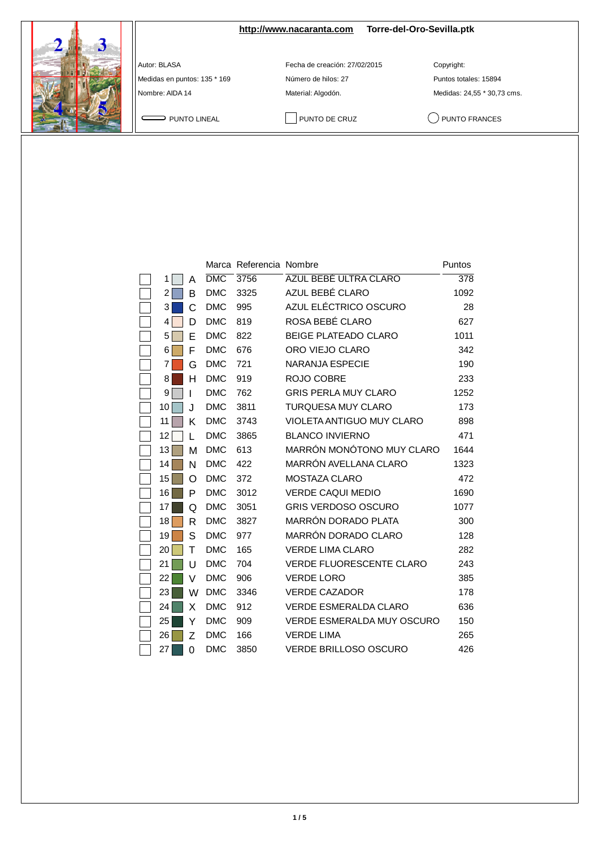## **<http://www.nacaranta.com> Torre-del-Oro-Sevilla.ptk**

Medidas en puntos: 135 \* 169 <br>
Número de hilos: 27 **Puntos totales: 15894** 

Autor: BLASA Fecha de creación: 27/02/2015 Copyright:

Nombre: AIDA 14 Material: Algodón. Medidas: 24,55 \* 30,73 cms.

PUNTO LINEAL PUNTO DE CRUZ QUINTO FRANCES

|    |          |            | Marca Referencia Nombre |                                   | Puntos |
|----|----------|------------|-------------------------|-----------------------------------|--------|
| 1  | Α        | <b>DMC</b> | 3756                    | AZUL BEBÉ ULTRA CLARO             | 378    |
| 2  | в        | <b>DMC</b> | 3325                    | AZUL BEBÉ CLARO                   | 1092   |
| 3  | С        | <b>DMC</b> | 995                     | AZUL ELÉCTRICO OSCURO             | 28     |
| 4  | D        | <b>DMC</b> | 819                     | ROSA BEBÉ CLARO                   | 627    |
| 5  | Е        | <b>DMC</b> | 822                     | <b>BEIGE PLATEADO CLARO</b>       | 1011   |
| 6  | F        | <b>DMC</b> | 676                     | ORO VIEJO CLARO                   | 342    |
| 7  | G        | <b>DMC</b> | 721                     | <b>NARANJA ESPECIE</b>            | 190    |
| 8  | н        | <b>DMC</b> | 919                     | ROJO COBRE                        | 233    |
| 9  | ı        | <b>DMC</b> | 762                     | <b>GRIS PERLA MUY CLARO</b>       | 1252   |
| 10 | J.       | <b>DMC</b> | 3811                    | <b>TURQUESA MUY CLARO</b>         | 173    |
| 11 | Κ        | <b>DMC</b> | 3743                    | <b>VIOLETA ANTIGUO MUY CLARO</b>  | 898    |
| 12 | L        | <b>DMC</b> | 3865                    | <b>BLANCO INVIERNO</b>            | 471    |
| 13 | М        | <b>DMC</b> | 613                     | MARRÓN MONÓTONO MUY CLARO         | 1644   |
| 14 | N        | <b>DMC</b> | 422                     | MARRÓN AVELLANA CLARO             | 1323   |
| 15 | O        | <b>DMC</b> | 372                     | <b>MOSTAZA CLARO</b>              | 472    |
| 16 | P        | <b>DMC</b> | 3012                    | <b>VERDE CAQUI MEDIO</b>          | 1690   |
| 17 | Q        | <b>DMC</b> | 3051                    | <b>GRIS VERDOSO OSCURO</b>        | 1077   |
| 18 | R        | <b>DMC</b> | 3827                    | MARRÓN DORADO PLATA               | 300    |
| 19 | S        | <b>DMC</b> | 977                     | MARRÓN DORADO CLARO               | 128    |
| 20 | т        | <b>DMC</b> | 165                     | <b>VERDE LIMA CLARO</b>           | 282    |
| 21 | U        | <b>DMC</b> | 704                     | VERDE FLUORESCENTE CLARO          | 243    |
| 22 | V        | <b>DMC</b> | 906                     | <b>VERDE LORO</b>                 | 385    |
| 23 | W        | <b>DMC</b> | 3346                    | <b>VERDE CAZADOR</b>              | 178    |
| 24 | X        | <b>DMC</b> | 912                     | <b>VERDE ESMERALDA CLARO</b>      | 636    |
| 25 | Y        | <b>DMC</b> | 909                     | <b>VERDE ESMERALDA MUY OSCURO</b> | 150    |
| 26 | Ζ        | <b>DMC</b> | 166                     | <b>VERDE LIMA</b>                 | 265    |
| 27 | $\Omega$ | <b>DMC</b> | 3850                    | <b>VERDE BRILLOSO OSCURO</b>      | 426    |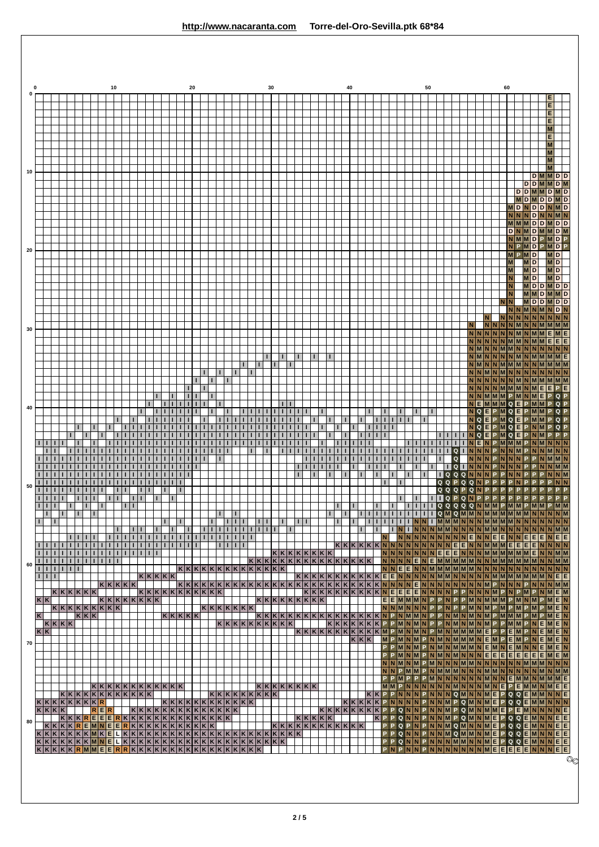|          |              |             |              |                       |                                 |   |                   |        |                       | 10                 |                                                                                                                                                                                      |     |                                |                          |              |              | 20   |  |                                               |                    |                        |            |                | 30 |              |   |              |                 |    |              |                     | 40 |   |       |                |              |              |   |                        | 50 |     |         |              |           |          |              |                  |          | 60      |                           |    |                                         |                                                                                                        |                        |                                                                                                                                          |              |
|----------|--------------|-------------|--------------|-----------------------|---------------------------------|---|-------------------|--------|-----------------------|--------------------|--------------------------------------------------------------------------------------------------------------------------------------------------------------------------------------|-----|--------------------------------|--------------------------|--------------|--------------|------|--|-----------------------------------------------|--------------------|------------------------|------------|----------------|----|--------------|---|--------------|-----------------|----|--------------|---------------------|----|---|-------|----------------|--------------|--------------|---|------------------------|----|-----|---------|--------------|-----------|----------|--------------|------------------|----------|---------|---------------------------|----|-----------------------------------------|--------------------------------------------------------------------------------------------------------|------------------------|------------------------------------------------------------------------------------------------------------------------------------------|--------------|
| $\Omega$ |              |             |              |                       |                                 |   |                   |        |                       |                    |                                                                                                                                                                                      |     |                                |                          |              |              |      |  |                                               |                    |                        |            |                |    |              |   |              |                 |    |              |                     |    |   |       |                |              |              |   |                        |    |     |         |              |           |          |              |                  |          |         |                           |    |                                         |                                                                                                        | Е<br>E                 |                                                                                                                                          |              |
|          |              |             |              |                       |                                 |   |                   |        |                       |                    |                                                                                                                                                                                      |     |                                |                          |              |              |      |  |                                               |                    |                        |            |                |    |              |   |              |                 |    |              |                     |    |   |       |                |              |              |   |                        |    |     |         |              |           |          |              |                  |          |         |                           |    |                                         |                                                                                                        | Е<br>E                 |                                                                                                                                          |              |
|          |              |             |              |                       |                                 |   |                   |        |                       |                    |                                                                                                                                                                                      |     |                                |                          |              |              |      |  |                                               |                    |                        |            |                |    |              |   |              |                 |    |              |                     |    |   |       |                |              |              |   |                        |    |     |         |              |           |          |              |                  |          |         |                           |    |                                         |                                                                                                        | M<br>E                 |                                                                                                                                          |              |
|          |              |             |              |                       |                                 |   |                   |        |                       |                    |                                                                                                                                                                                      |     |                                |                          |              |              |      |  |                                               |                    |                        |            |                |    |              |   |              |                 |    |              |                     |    |   |       |                |              |              |   |                        |    |     |         |              |           |          |              |                  |          |         |                           |    |                                         |                                                                                                        | M<br>M                 |                                                                                                                                          |              |
|          |              |             |              |                       |                                 |   |                   |        |                       |                    |                                                                                                                                                                                      |     |                                |                          |              |              |      |  |                                               |                    |                        |            |                |    |              |   |              |                 |    |              |                     |    |   |       |                |              |              |   |                        |    |     |         |              |           |          |              |                  |          |         |                           |    |                                         |                                                                                                        | M<br>M                 |                                                                                                                                          |              |
| 10       |              |             |              |                       |                                 |   |                   |        |                       |                    |                                                                                                                                                                                      |     |                                |                          |              |              |      |  |                                               |                    |                        |            |                |    |              |   |              |                 |    |              |                     |    |   |       |                |              |              |   |                        |    |     |         |              |           |          |              |                  |          |         |                           |    |                                         | $D$ $M$ $N$ $D$ $D$<br><b>DDMMDM</b>                                                                   |                        |                                                                                                                                          |              |
|          |              |             |              |                       |                                 |   |                   |        |                       |                    |                                                                                                                                                                                      |     |                                |                          |              |              |      |  |                                               |                    |                        |            |                |    |              |   |              |                 |    |              |                     |    |   |       |                |              |              |   |                        |    |     |         |              |           |          |              |                  |          |         |                           |    |                                         | $D$ D M M D M D                                                                                        |                        |                                                                                                                                          |              |
|          |              |             |              |                       |                                 |   |                   |        |                       |                    |                                                                                                                                                                                      |     |                                |                          |              |              |      |  |                                               |                    |                        |            |                |    |              |   |              |                 |    |              |                     |    |   |       |                |              |              |   |                        |    |     |         |              |           |          |              |                  |          |         |                           |    |                                         | <b>MDMDDMD</b><br>MDNDDNMD                                                                             |                        |                                                                                                                                          |              |
|          |              |             |              |                       |                                 |   |                   |        |                       |                    |                                                                                                                                                                                      |     |                                |                          |              |              |      |  |                                               |                    |                        |            |                |    |              |   |              |                 |    |              |                     |    |   |       |                |              |              |   |                        |    |     |         |              |           |          |              |                  |          |         |                           |    |                                         | N N N D N N M N <br>MMMDDMDD                                                                           |                        |                                                                                                                                          |              |
|          |              |             |              |                       |                                 |   |                   |        |                       |                    |                                                                                                                                                                                      |     |                                |                          |              |              |      |  |                                               |                    |                        |            |                |    |              |   |              |                 |    |              |                     |    |   |       |                |              |              |   |                        |    |     |         |              |           |          |              |                  |          |         |                           |    |                                         | $D$ N $M$ D $M$ M $D$ M<br>NMMDPMDP                                                                    |                        |                                                                                                                                          |              |
| 20       |              |             |              |                       |                                 |   |                   |        |                       |                    |                                                                                                                                                                                      |     |                                |                          |              |              |      |  |                                               |                    |                        |            |                |    |              |   |              |                 |    |              |                     |    |   |       |                |              |              |   |                        |    |     |         |              |           |          |              |                  |          |         |                           |    | <b>MPMD</b>                             | NPMDPMDP                                                                                               | $M$ D                  |                                                                                                                                          |              |
|          |              |             |              |                       |                                 |   |                   |        |                       |                    |                                                                                                                                                                                      |     |                                |                          |              |              |      |  |                                               |                    |                        |            |                |    |              |   |              |                 |    |              |                     |    |   |       |                |              |              |   |                        |    |     |         |              |           |          |              |                  |          |         | M<br>M                    |    | <b>MD</b><br>MD                         |                                                                                                        | <b>MD</b><br><b>MD</b> |                                                                                                                                          |              |
|          |              |             |              |                       |                                 |   |                   |        |                       |                    |                                                                                                                                                                                      |     |                                |                          |              |              |      |  |                                               |                    |                        |            |                |    |              |   |              |                 |    |              |                     |    |   |       |                |              |              |   |                        |    |     |         |              |           |          |              |                  |          |         | N<br>N                    |    | $M$ D                                   | $M$ $D$ $D$ $M$ $D$ $D$                                                                                | <b>MD</b>              |                                                                                                                                          |              |
|          |              |             |              |                       |                                 |   |                   |        |                       |                    |                                                                                                                                                                                      |     |                                |                          |              |              |      |  |                                               |                    |                        |            |                |    |              |   |              |                 |    |              |                     |    |   |       |                |              |              |   |                        |    |     |         |              |           |          |              |                  |          | N N     | N                         |    |                                         | <b>MMDMMD</b><br>MDDMDD                                                                                |                        |                                                                                                                                          |              |
|          |              |             |              |                       |                                 |   |                   |        |                       |                    |                                                                                                                                                                                      |     |                                |                          |              |              |      |  |                                               |                    |                        |            |                |    |              |   |              |                 |    |              |                     |    |   |       |                |              |              |   |                        |    |     |         |              |           |          |              |                  |          |         |                           |    |                                         | NNMNMNDN<br>$N \left  N \right  N \left  N \right  N \left  N \right  N$                               |                        |                                                                                                                                          |              |
| 30       |              |             |              |                       |                                 |   |                   |        |                       |                    |                                                                                                                                                                                      |     |                                |                          |              |              |      |  |                                               |                    |                        |            |                |    |              |   |              |                 |    |              |                     |    |   |       |                |              |              |   |                        |    |     |         |              |           |          |              |                  |          |         |                           |    |                                         | $N$ $N$ $N$ $N$ $N$ $N$ $N$ $N$ $N$ $M$ $M$ $M$                                                        |                        |                                                                                                                                          |              |
|          |              |             |              |                       |                                 |   |                   |        |                       |                    |                                                                                                                                                                                      |     |                                |                          |              |              |      |  |                                               |                    |                        |            |                |    |              |   |              |                 |    |              |                     |    |   |       |                |              |              |   |                        |    |     |         |              |           |          |              |                  |          |         |                           |    |                                         | NNNNNNMMNMMEME<br>$N \mid N \mid N \mid N \mid M \mid M \mid N \mid M \mid M \mid E \mid E \mid E$     |                        |                                                                                                                                          |              |
|          |              |             |              |                       |                                 |   |                   |        |                       |                    |                                                                                                                                                                                      |     |                                |                          |              |              |      |  |                                               |                    |                        |            |                |    | -1           |   | $\mathbf{L}$ |                 | H. | п            |                     |    |   |       |                |              |              |   |                        |    |     |         |              |           |          |              |                  |          |         |                           |    |                                         | $N$ $M$ $N$ $N$ $M$ $M$ $M$ $N$ $N$ $N$ $N$ $N$<br>$N$ $M$ $N$ $N$ $N$ $N$ $M$ $M$ $N$ $M$ $M$ $M$ $E$ |                        |                                                                                                                                          |              |
|          |              |             |              |                       |                                 |   |                   |        |                       |                    |                                                                                                                                                                                      |     |                                |                          |              |              |      |  |                                               | T.                 | $\mathbf{L}$           | п          | $\blacksquare$ |    |              |   |              |                 |    |              |                     |    |   |       |                |              |              |   |                        |    |     |         |              |           |          |              |                  |          |         |                           |    |                                         | $N$ $M$ $N$ $N$ $M$ $M$ $M$ $N$ $N$ $N$ $M$ $M$ $M$<br>$N$  N M N M N N N N N N N N                    |                        |                                                                                                                                          |              |
|          |              |             |              |                       |                                 |   |                   |        |                       |                    |                                                                                                                                                                                      |     |                                |                          |              |              | L.   |  | п                                             | H                  |                        |            |                |    |              |   |              |                 |    |              |                     |    |   |       |                |              |              |   |                        |    |     |         |              |           |          |              |                  |          |         |                           |    |                                         | $N \mid N \mid N \mid N \mid M \mid M \mid N \mid N \mid E \mid E \mid P \mid E$                       |                        |                                                                                                                                          |              |
|          |              |             |              |                       |                                 |   |                   |        |                       |                    |                                                                                                                                                                                      |     |                                |                          |              |              |      |  |                                               |                    |                        |            |                |    |              |   |              |                 |    |              |                     |    |   |       |                |              |              |   |                        |    |     |         |              |           |          |              |                  |          |         |                           |    | $N$ $N$ $M$ $M$ $M$ $P$ $M$ $N$ $M$ $E$ | NEMMMQEPMMP                                                                                            | PQP                    | QP                                                                                                                                       |              |
| 40       |              |             |              |                       |                                 |   |                   |        |                       |                    |                                                                                                                                                                                      |     |                                |                          |              |              |      |  |                                               |                    |                        |            |                |    |              |   |              |                 |    | п            |                     |    |   |       | $\mathbf{I}$   | $\mathbf{L}$ | $\mathbf{I}$ |   |                        |    |     |         |              |           |          | N Q          | NQE<br>E         | P.       | $P$ M Q |                           | E. | <b>MQEPMM</b>                           |                                                                                                        |                        | $Q$ $P$<br>$Q$ $P$                                                                                                                       |              |
|          |              |             |              |                       |                                 |   |                   |        |                       |                    |                                                                                                                                                                                      |     |                                |                          |              |              |      |  |                                               |                    |                        |            |                |    |              |   |              |                 |    |              |                     |    |   |       | $\mathbf{L}$   | I.           | т.           |   |                        |    |     |         | Ι.           |           |          | N Q I<br>N Q | E<br>E           | P        |         | MQE                       |    |                                         | <b>PMQEPNMP</b>                                                                                        |                        | $Q$ $P$                                                                                                                                  |              |
|          |              |             |              |                       |                                 |   |                   |        |                       |                    |                                                                                                                                                                                      |     |                                |                          |              |              |      |  |                                               | T.<br>$\mathbf{I}$ |                        |            |                |    | $\mathbf{I}$ |   |              |                 |    |              |                     |    |   |       |                |              |              |   | $\mathbf{L}$           |    | 111 | 1 1     |              | Q         |          | NIE          | $N$ $N$ $N$      | P.<br>P. |         | <b>MMM</b><br><b>NINM</b> |    |                                         | N M N N N                                                                                              |                        |                                                                                                                                          |              |
|          |              |             |              |                       |                                 |   |                   |        |                       |                    |                                                                                                                                                                                      |     |                                |                          |              |              |      |  |                                               | п                  |                        |            |                |    |              |   | $\Box$       | $\mathbf{I}$    |    | $\mathbf{I}$ |                     |    |   |       |                |              |              | п | $\mathbf{L}$<br>$\Box$ |    |     | L       | $\mathbf{I}$ | Q<br>Q    |          |              | $I$ NN           |          | N       | <b>NNN</b>                |    |                                         |                                                                                                        |                        |                                                                                                                                          |              |
|          |              |             |              |                       |                                 |   |                   |        |                       |                    |                                                                                                                                                                                      |     |                                |                          |              |              |      |  |                                               |                    |                        |            |                |    |              |   | $\mathbf{L}$ |                 | т. | L            |                     |    |   |       | $\mathbf{I}$   |              |              |   |                        |    |     | $Q$ $Q$ |              | Q         | $\Omega$ |              | <b>TQQQNNN</b>   | P        | P       | $N$ $N$                   |    |                                         |                                                                                                        |                        |                                                                                                                                          |              |
| 50       |              | 1 1         |              |                       |                                 |   | $\blacksquare$    |        |                       |                    |                                                                                                                                                                                      |     |                                | п.                       |              | $\mathbf{I}$ |      |  |                                               |                    |                        |            |                |    |              |   |              |                 |    |              |                     |    |   |       |                |              |              |   |                        |    |     |         |              | $Q Q Q P$ |          |              |                  |          | P.      |                           |    |                                         |                                                                                                        |                        |                                                                                                                                          |              |
|          |              | 1 1 1       |              | $ 1 1 1 $ $ 1 $ $ 1 $ |                                 |   |                   | $\Box$ |                       |                    | $\blacksquare$                                                                                                                                                                       |     |                                |                          |              |              |      |  |                                               |                    |                        |            |                |    |              |   |              |                 |    |              | $\Box$              |    | H |       | $\mathbf{L}$   |              |              |   | $\mathbf{L}$           |    |     |         |              |           |          |              | <b>IIIQPQNPP</b> | P.       |         | P                         |    |                                         |                                                                                                        |                        | II IIIII QQQQ <mark>NMMPMMPMMPMM</mark>                                                                                                  |              |
|          | $\mathbf{L}$ | т.          | $\mathbf{I}$ | т                     |                                 | Ш | л.                |        |                       |                    |                                                                                                                                                                                      |     |                                | п                        |              | $\mathbf{I}$ |      |  |                                               | п<br>$\mathbf{I}$  | $\mathbf{I}$<br>$\Box$ |            |                |    | $\mathbf{I}$ |   | 111          |                 |    | $\mathbf{I}$ | п                   |    |   |       | $\blacksquare$ | $\mathbf{I}$ | Ш<br>ш       |   |                        |    |     |         |              |           |          |              |                  |          |         |                           |    |                                         |                                                                                                        |                        |                                                                                                                                          |              |
|          |              |             |              |                       |                                 |   |                   |        | $\mathbf{L}$          | $\mathbf{I}$       | 11111                                                                                                                                                                                | 1 1 |                                | T.                       | $\mathbf{I}$ |              | Ш    |  | गामा                                          |                    |                        | TITITITITI |                |    |              | п |              |                 |    |              |                     |    | Ш |       | $\mathbf{L}$   | N.           |              |   |                        |    |     |         |              |           |          |              |                  |          |         |                           |    |                                         |                                                                                                        |                        | $ N N N N N N N N E N N E E N N E E E N E E $                                                                                            |              |
|          |              |             | п            |                       | 111                             |   | ШL<br>1 1 1 1     |        | $\mathbf{I}$          | п.<br>$\mathbf{I}$ | $\blacksquare$<br>11111                                                                                                                                                              |     | $\blacksquare$<br>$\mathbf{L}$ | $\blacksquare$<br>п<br>п | $\mathbf{I}$ |              | 111  |  |                                               | T.                 |                        | .          |                |    |              |   |              | K K K K K K K K |    |              |                     |    |   |       |                |              |              |   |                        |    |     |         |              |           |          |              |                  |          |         |                           |    |                                         | $N N N N N N E E E N N N M M M M M M E N N M M$                                                        |                        |                                                                                                                                          |              |
| 60       | п            | THEFT       | T.           | л.                    | $\vert \vert \vert \vert \vert$ |   |                   |        | 1   1   1   1   1   1 | $\mathbf{I}$       |                                                                                                                                                                                      |     |                                |                          |              |              |      |  | K K K K K K K K K K K K K                     |                    |                        |            |                |    |              |   |              |                 |    |              |                     |    |   |       |                |              |              |   |                        |    |     |         |              |           |          |              |                  |          |         |                           |    |                                         |                                                                                                        |                        | $N \mid N \mid N \mid E \mid N \mid E \mid M \mid M \mid M \mid M \mid N \mid N \mid M \mid M \mid M \mid M \mid N \mid N \mid M \mid M$ |              |
|          |              | $1$ $1$ $1$ |              |                       |                                 |   |                   |        |                       |                    | K K K K K                                                                                                                                                                            |     |                                | K K K K K                |              |              |      |  |                                               |                    |                        |            |                |    |              |   |              |                 |    |              |                     |    |   |       |                |              |              |   |                        |    |     |         |              |           |          |              |                  |          |         |                           |    |                                         |                                                                                                        |                        | KKKKKKKKKKKKKEENNNNNMMNNNNNMMMMMMMMM                                                                                                     |              |
|          |              | K K         |              |                       |                                 |   | K K K K K K       |        |                       |                    | K K K K K K K K                                                                                                                                                                      |     |                                |                          |              |              |      |  |                                               |                    |                        |            |                |    |              |   |              | K K K K K K K K |    |              |                     |    |   |       |                |              |              |   |                        |    |     |         |              |           |          |              |                  |          |         |                           |    |                                         |                                                                                                        |                        | KKKKKKKKKKKAEEEEENNNNPPNNNMPNPMPNMEM<br>$E E M M M N P P N P P M N M M M P M N P M E N$                                                  |              |
|          | K            |             |              |                       |                                 |   | KK                |        | $KKKKKKKKK$           |                    |                                                                                                                                                                                      |     |                                |                          |              |              | KKKK |  | K K K K K K K                                 |                    |                        |            |                |    |              |   |              |                 |    |              |                     |    |   |       |                |              |              |   |                        |    |     |         |              |           |          |              |                  |          |         |                           |    |                                         |                                                                                                        |                        | NNMNNNPPNPPMNMPMPMPMPMEN<br>KKKKKKKKKKKKKKKKKKKKKKAPNMMNPPNMNNMPMMMPMPMPMEN                                                              |              |
|          |              |             |              | K K K K               |                                 |   |                   |        |                       |                    |                                                                                                                                                                                      |     |                                |                          |              |              |      |  |                                               | K K K K K K K K K  |                        |            |                |    |              |   |              |                 |    |              |                     |    |   |       |                |              |              |   |                        |    |     |         |              |           |          |              |                  |          |         |                           |    |                                         |                                                                                                        |                        | $K K K K K K P P M N N P P N M N M N M P P M M P N E M E N$<br>KKKKKKKKKKKKKKKKKKK                                                       |              |
| 70       |              | K K         |              |                       |                                 |   |                   |        |                       |                    |                                                                                                                                                                                      |     |                                |                          |              |              |      |  |                                               |                    |                        |            |                |    |              |   |              |                 |    |              |                     |    |   | K K K |                |              |              |   |                        |    |     |         |              |           |          |              |                  |          |         |                           |    |                                         |                                                                                                        |                        | MPMNMPNMNNMMMMLEMPEMPNEMEN                                                                                                               |              |
|          |              |             |              |                       |                                 |   |                   |        |                       |                    |                                                                                                                                                                                      |     |                                |                          |              |              |      |  |                                               |                    |                        |            |                |    |              |   |              |                 |    |              |                     |    |   |       |                |              |              |   |                        |    |     |         |              |           |          |              |                  |          |         |                           |    |                                         |                                                                                                        |                        | PPMNMPNMNMMMMNEMNEMNEMEN<br>PPMNMPNMNNMNNEEEEEEEEMEM                                                                                     |              |
|          |              |             |              |                       |                                 |   |                   |        |                       |                    |                                                                                                                                                                                      |     |                                |                          |              |              |      |  |                                               |                    |                        |            |                |    |              |   |              |                 |    |              |                     |    |   |       |                |              |              |   |                        |    |     |         |              |           |          |              |                  |          |         |                           |    |                                         |                                                                                                        |                        | $N N M N N P M N N N M M N N N N N N M M N N N N$                                                                                        |              |
|          |              |             |              |                       |                                 |   |                   |        |                       |                    | $KKKKKKKKKKKK$                                                                                                                                                                       |     |                                |                          |              |              |      |  |                                               |                    |                        |            |                |    |              |   |              | K K K K K K K   |    |              |                     |    |   |       |                |              |              |   |                        |    |     |         |              |           |          |              |                  |          |         |                           |    |                                         | PPMPPPMNNNNNNNMNNEMMNMME                                                                               |                        | MMPNNNNNNNMNNNNMNEPEMMNEE                                                                                                                |              |
|          |              |             |              |                       |                                 |   | K K K K K K K K R |        |                       |                    | <b>KKKKKKKKKKKK</b>                                                                                                                                                                  |     |                                |                          |              |              |      |  | <b>KKKKKKKKK</b><br>K K K K K K K K K K K K K |                    |                        |            |                |    |              |   |              |                 |    |              |                     |    |   |       |                |              |              |   |                        |    |     |         |              |           |          |              |                  |          |         |                           |    |                                         |                                                                                                        |                        | KKPPNNNPNNNQMNNMEPQQEMMNNE<br>KKKKKPNNNNPNNMPQMNMEPQQEMMNNN                                                                              |              |
| 80       |              |             |              | K K K K               |                                 |   |                   |        | R E R                 |                    | $ \kappa \kappa \mathbf{\kappa} \mathbf{\kappa} $ E $ \mathbf{\epsilon} \mathbf{\kappa} \kappa \kappa \kappa \kappa \kappa \kappa \kappa \kappa \kappa \kappa \kappa \kappa \kappa $ |     |                                |                          |              |              |      |  | K K K K K K K K K K K K K                     |                    |                        |            |                |    |              |   |              | K K K K K       |    |              | KKKKKKK             |    |   |       |                |              |              |   |                        |    |     |         |              |           |          |              |                  |          |         |                           |    |                                         | KPPQNNPNNMPQMNMEPQQEMNNEE                                                                              |                        | PQNNPNNMPQMNMMEPEMNNNNE                                                                                                                  |              |
|          |              |             |              |                       |                                 |   |                   |        |                       |                    | KKKKKKKKKAKELKKKKKKKKKKKKKKKKKKKKKKK                                                                                                                                                 |     |                                |                          |              |              |      |  |                                               |                    |                        |            |                |    |              |   |              |                 |    |              | <b>KKKKKKKKKKKK</b> |    |   |       |                |              | P            |   |                        |    |     |         |              |           |          |              |                  |          |         |                           |    |                                         |                                                                                                        |                        | PQPNPNNMQMNNMEPQQEMNNEE<br>Q N N P N N M Q M M N M E P Q Q E M N N E E                                                                   |              |
|          |              |             |              |                       |                                 |   |                   |        |                       |                    |                                                                                                                                                                                      |     |                                |                          |              |              |      |  |                                               |                    |                        |            |                |    |              |   |              |                 |    |              |                     |    |   |       |                | PN           |              |   |                        |    |     |         |              |           |          |              |                  |          |         |                           |    |                                         |                                                                                                        |                        | PPQNNPNNNMMNNMEPQQEMNNEE<br>$P$ N N $P$ N N N N N N N N N N N E E E E E N N N E E                                                        |              |
|          |              |             |              |                       |                                 |   |                   |        |                       |                    |                                                                                                                                                                                      |     |                                |                          |              |              |      |  |                                               |                    |                        |            |                |    |              |   |              |                 |    |              |                     |    |   |       |                |              |              |   |                        |    |     |         |              |           |          |              |                  |          |         |                           |    |                                         |                                                                                                        |                        |                                                                                                                                          | $\mathbb{Q}$ |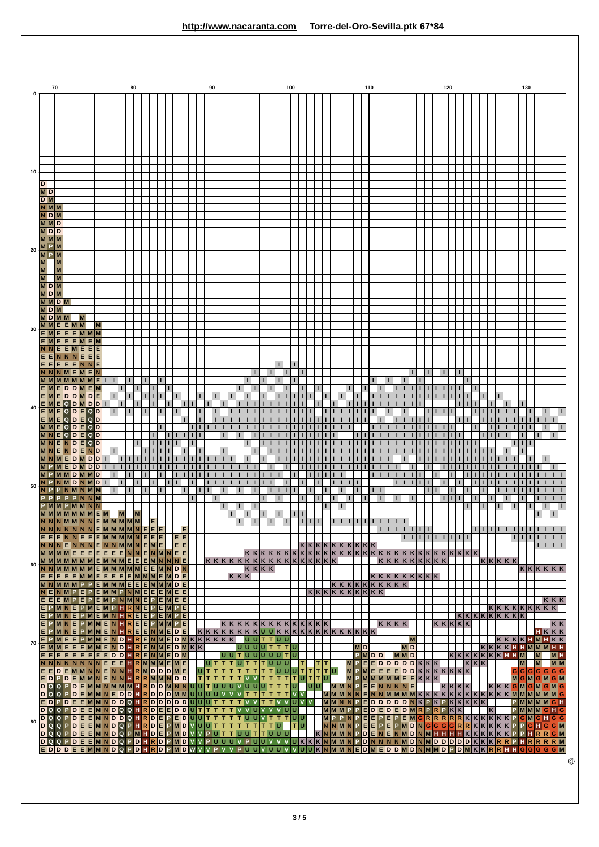| $\bf{0}$                                                                                                                                                                                                                 | 70          |                          |                       |             |                                 |              |   | 80 |   |   |   |  |          |   |                   | 90 |                |                     |       |        |        |              |                                  |              | 100 |                                                                         |              |                                                                    |              |              |   |   |              | 110 |                |                                                                                 |    |   |                                        |              |   |  | 120       |              |   |     |       |   |           |              |                   | 130 |                                                    |                |              |   |           |  |
|--------------------------------------------------------------------------------------------------------------------------------------------------------------------------------------------------------------------------|-------------|--------------------------|-----------------------|-------------|---------------------------------|--------------|---|----|---|---|---|--|----------|---|-------------------|----|----------------|---------------------|-------|--------|--------|--------------|----------------------------------|--------------|-----|-------------------------------------------------------------------------|--------------|--------------------------------------------------------------------|--------------|--------------|---|---|--------------|-----|----------------|---------------------------------------------------------------------------------|----|---|----------------------------------------|--------------|---|--|-----------|--------------|---|-----|-------|---|-----------|--------------|-------------------|-----|----------------------------------------------------|----------------|--------------|---|-----------|--|
|                                                                                                                                                                                                                          |             |                          |                       |             |                                 |              |   |    |   |   |   |  |          |   |                   |    |                |                     |       |        |        |              |                                  |              |     |                                                                         |              |                                                                    |              |              |   |   |              |     |                |                                                                                 |    |   |                                        |              |   |  |           |              |   |     |       |   |           |              |                   |     |                                                    |                |              |   |           |  |
|                                                                                                                                                                                                                          |             |                          |                       |             |                                 |              |   |    |   |   |   |  |          |   |                   |    |                |                     |       |        |        |              |                                  |              |     |                                                                         |              |                                                                    |              |              |   |   |              |     |                |                                                                                 |    |   |                                        |              |   |  |           |              |   |     |       |   |           |              |                   |     |                                                    |                |              |   |           |  |
|                                                                                                                                                                                                                          |             |                          |                       |             |                                 |              |   |    |   |   |   |  |          |   |                   |    |                |                     |       |        |        |              |                                  |              |     |                                                                         |              |                                                                    |              |              |   |   |              |     |                |                                                                                 |    |   |                                        |              |   |  |           |              |   |     |       |   |           |              |                   |     |                                                    |                |              |   |           |  |
|                                                                                                                                                                                                                          |             |                          |                       |             |                                 |              |   |    |   |   |   |  |          |   |                   |    |                |                     |       |        |        |              |                                  |              |     |                                                                         |              |                                                                    |              |              |   |   |              |     |                |                                                                                 |    |   |                                        |              |   |  |           |              |   |     |       |   |           |              |                   |     |                                                    |                |              |   |           |  |
| 10                                                                                                                                                                                                                       |             |                          |                       |             |                                 |              |   |    |   |   |   |  |          |   |                   |    |                |                     |       |        |        |              |                                  |              |     |                                                                         |              |                                                                    |              |              |   |   |              |     |                |                                                                                 |    |   |                                        |              |   |  |           |              |   |     |       |   |           |              |                   |     |                                                    |                |              |   |           |  |
| D<br>MD<br>D <sub>M</sub>                                                                                                                                                                                                |             |                          |                       |             |                                 |              |   |    |   |   |   |  |          |   |                   |    |                |                     |       |        |        |              |                                  |              |     |                                                                         |              |                                                                    |              |              |   |   |              |     |                |                                                                                 |    |   |                                        |              |   |  |           |              |   |     |       |   |           |              |                   |     |                                                    |                |              |   |           |  |
| $N$ M $M$<br><b>NDM</b>                                                                                                                                                                                                  |             |                          |                       |             |                                 |              |   |    |   |   |   |  |          |   |                   |    |                |                     |       |        |        |              |                                  |              |     |                                                                         |              |                                                                    |              |              |   |   |              |     |                |                                                                                 |    |   |                                        |              |   |  |           |              |   |     |       |   |           |              |                   |     |                                                    |                |              |   |           |  |
| <b>MMD</b><br><b>MDD</b>                                                                                                                                                                                                 |             |                          |                       |             |                                 |              |   |    |   |   |   |  |          |   |                   |    |                |                     |       |        |        |              |                                  |              |     |                                                                         |              |                                                                    |              |              |   |   |              |     |                |                                                                                 |    |   |                                        |              |   |  |           |              |   |     |       |   |           |              |                   |     |                                                    |                |              |   |           |  |
| <b>MMM</b><br>M<br>20                                                                                                                                                                                                    | P           |                          |                       |             |                                 |              |   |    |   |   |   |  |          |   |                   |    |                |                     |       |        |        |              |                                  |              |     |                                                                         |              |                                                                    |              |              |   |   |              |     |                |                                                                                 |    |   |                                        |              |   |  |           |              |   |     |       |   |           |              |                   |     |                                                    |                |              |   |           |  |
| $\overline{M}$<br>M                                                                                                                                                                                                      | P<br>M<br>M |                          |                       |             |                                 |              |   |    |   |   |   |  |          |   |                   |    |                |                     |       |        |        |              |                                  |              |     |                                                                         |              |                                                                    |              |              |   |   |              |     |                |                                                                                 |    |   |                                        |              |   |  |           |              |   |     |       |   |           |              |                   |     |                                                    |                |              |   |           |  |
| M<br>M<br><b>MD</b>                                                                                                                                                                                                      | M           | M<br>M                   |                       |             |                                 |              |   |    |   |   |   |  |          |   |                   |    |                |                     |       |        |        |              |                                  |              |     |                                                                         |              |                                                                    |              |              |   |   |              |     |                |                                                                                 |    |   |                                        |              |   |  |           |              |   |     |       |   |           |              |                   |     |                                                    |                |              |   |           |  |
| <b>MDM</b><br>$M$ $M$ $D$ $M$                                                                                                                                                                                            |             |                          |                       |             |                                 |              |   |    |   |   |   |  |          |   |                   |    |                |                     |       |        |        |              |                                  |              |     |                                                                         |              |                                                                    |              |              |   |   |              |     |                |                                                                                 |    |   |                                        |              |   |  |           |              |   |     |       |   |           |              |                   |     |                                                    |                |              |   |           |  |
| <b>MDM</b><br><b>MDMM</b>                                                                                                                                                                                                |             |                          |                       | ΙM          |                                 |              |   |    |   |   |   |  |          |   |                   |    |                |                     |       |        |        |              |                                  |              |     |                                                                         |              |                                                                    |              |              |   |   |              |     |                |                                                                                 |    |   |                                        |              |   |  |           |              |   |     |       |   |           |              |                   |     |                                                    |                |              |   |           |  |
| $M$ M<br>30<br>E                                                                                                                                                                                                         | M<br>E      | <b>EEMM</b><br>Е         |                       |             | $E$ M M M                       |              |   |    |   |   |   |  |          |   |                   |    |                |                     |       |        |        |              |                                  |              |     |                                                                         |              |                                                                    |              |              |   |   |              |     |                |                                                                                 |    |   |                                        |              |   |  |           |              |   |     |       |   |           |              |                   |     |                                                    |                |              |   |           |  |
| <b>EM</b><br>E                                                                                                                                                                                                           | Е           | EE<br>E E M E            | NE                    |             | <b>EMEM</b><br>E<br>Е<br>E<br>Е |              |   |    |   |   |   |  |          |   |                   |    |                |                     |       |        |        |              |                                  |              |     |                                                                         |              |                                                                    |              |              |   |   |              |     |                |                                                                                 |    |   |                                        |              |   |  |           |              |   |     |       |   |           |              |                   |     |                                                    |                |              |   |           |  |
| EI<br>$N$ $N$ $N$ $M$                                                                                                                                                                                                    | E.          | EE                       | E.                    | E M E       | NNE                             |              |   |    |   |   |   |  |          |   |                   |    |                |                     |       |        |        |              |                                  |              |     | г                                                                       | $\mathbf{I}$ |                                                                    |              |              |   |   |              |     |                |                                                                                 |    |   | п                                      |              |   |  |           |              |   |     |       |   |           |              |                   |     |                                                    |                |              |   |           |  |
| <b>MMMM</b><br>E                                                                                                                                                                                                         |             | MEDD                     | <b>M</b> <sub>M</sub> | M           | ME<br>E                         |              |   |    |   |   |   |  |          |   |                   |    |                |                     |       |        |        |              |                                  |              |     |                                                                         |              |                                                                    |              |              |   |   |              |     |                |                                                                                 |    |   |                                        |              |   |  |           |              |   |     |       |   |           |              |                   |     |                                                    |                |              |   |           |  |
| EML<br>$E$ MEQDMDD<br>40                                                                                                                                                                                                 |             |                          |                       | $D$ $M$ $D$ | Е                               |              |   |    |   |   |   |  |          |   | $\mathbf{I}$      |    |                |                     |       | п      |        |              |                                  |              |     |                                                                         |              |                                                                    | т.           |              |   |   |              |     |                |                                                                                 |    |   |                                        |              |   |  |           |              | п |     |       |   |           |              |                   |     |                                                    |                |              |   |           |  |
| Е<br>EM<br><b>MM</b>                                                                                                                                                                                                     | M           |                          | QDE<br>QDE            |             | Q<br>D<br>Q<br>D                | $\mathbf{I}$ |   |    |   |   |   |  |          |   | -<br>$\mathbf{I}$ |    |                |                     |       |        |        |              |                                  |              |     |                                                                         |              |                                                                    |              |              |   |   |              |     |                |                                                                                 |    |   |                                        |              |   |  |           |              |   |     |       |   |           |              |                   |     |                                                    |                | $\mathbf{L}$ |   |           |  |
|                                                                                                                                                                                                                          | IE.<br>IE.  | lQ l<br>Q                | D E<br>D<br>D         | Е<br>Е      | Q<br>D<br>Q<br>D<br>Q<br>D      |              |   |    |   |   |   |  |          | п | $\mathbf{I}$      |    |                |                     |       |        |        |              |                                  |              |     |                                                                         |              |                                                                    |              |              |   |   |              |     |                |                                                                                 |    |   |                                        |              |   |  |           |              |   |     |       |   |           |              |                   |     |                                                    |                |              | - |           |  |
| <b>MN</b>                                                                                                                                                                                                                | E           |                          | D<br>D                | E           | N<br>D<br>D<br>D                |              |   |    |   |   |   |  |          |   |                   |    |                |                     |       |        |        |              |                                  |              |     |                                                                         |              |                                                                    |              |              |   |   |              |     |                |                                                                                 |    |   |                                        |              |   |  |           |              |   |     |       |   |           |              |                   |     |                                                    |                |              |   |           |  |
| M<br>M                                                                                                                                                                                                                   | P           | E                        | D<br>D                |             | D<br>D<br>M<br>D                |              |   |    |   |   |   |  |          |   |                   |    |                |                     |       | п      |        |              |                                  |              |     |                                                                         |              |                                                                    |              |              |   |   |              |     |                |                                                                                 | п  |   |                                        |              |   |  |           |              |   |     |       |   |           |              |                   |     |                                                    |                |              |   |           |  |
| N<br>P<br>50<br>N.<br>P                                                                                                                                                                                                  | P           | P <sub>P</sub>           | <b>MDNMD</b>          |             | $M$ $N$ $M$ $M$<br>PNNM         | т.           |   |    |   | п |   |  |          |   | -                 |    | . .            |                     | н.    |        |        |              |                                  |              |     |                                                                         |              |                                                                    |              |              | ш |   | -            |     |                | $\mathbf{I}$                                                                    | I. | п |                                        |              |   |  |           |              |   |     |       |   |           |              |                   |     |                                                    |                |              |   |           |  |
| <b>PMMPMMNN</b><br>$M$ M $ M$ M $ M$ M $ M$ M $ $ E $ M$                                                                                                                                                                 |             |                          |                       |             |                                 |              | M |    | M |   |   |  |          | п |                   |    | $\blacksquare$ |                     | п     | т.     | $\Box$ |              |                                  | $\mathbf{I}$ |     | 1 1                                                                     |              |                                                                    | $\mathbf{L}$ | $\mathbf{I}$ |   |   |              |     |                | п                                                                               |    |   |                                        |              |   |  |           | г            |   | п   |       |   |           | т            |                   |     |                                                    | $\blacksquare$ |              | Ш | п<br>т    |  |
| $N \mid N \mid N \mid M \mid M \mid N \mid N \mid E \mid M \mid M \mid M \mid M \mid$                                                                                                                                    |             |                          |                       |             |                                 |              |   |    |   |   | E |  | Е        |   |                   |    |                |                     | г     |        |        | $\mathbf{I}$ |                                  |              |     |                                                                         |              | 1 1 1                                                              |              |              |   |   |              |     |                | 1 1 1 1 1 1 1<br>1 1 1 1 1 1 1                                                  |    |   |                                        |              | ш |  |           |              |   |     |       |   | 111111111 | $\mathbf{I}$ | $\mathbf{I}$      | п   |                                                    | .              |              |   |           |  |
| $E E E N N E E E M M M M N E E E $<br>$N \mid N \mid N \mid E \mid N \mid N \mid N \mid E \mid N \mid N \mid M \mid N \mid E \mid M \mid E$                                                                              |             |                          |                       |             |                                 |              |   |    |   |   |   |  | EE<br>EE |   |                   |    |                |                     |       |        |        |              |                                  |              |     |                                                                         |              | $ \kappa \kappa \kappa \kappa \kappa \kappa \kappa \kappa \kappa $ |              |              |   |   |              |     |                |                                                                                 |    | L | $\mathbf{I}$                           | $\mathbf{I}$ |   |  |           | $\mathbf{L}$ |   | 1 1 |       |   |           | L            | $\mathbf{I}$      |     | 1 1 1 1 1 1                                        | 111111         |              |   |           |  |
| MMMMEEEEEEENNENMEE<br>MMMMMMMEMMMEEEMNNNE<br>60                                                                                                                                                                          |             |                          |                       |             |                                 |              |   |    |   |   |   |  |          |   |                   |    |                |                     |       |        |        |              |                                  |              |     |                                                                         |              |                                                                    |              |              |   |   |              |     |                | $KKKKKKKKK$                                                                     |    |   |                                        |              |   |  |           |              |   |     |       |   | K K K K K |              |                   |     |                                                    |                |              |   |           |  |
| NNMMMMMEMMEMMMMEEMNDN<br>$E E E E E M M E E E E E M M M E M D E$<br>MNMMMPPEMMMEEEMMMDE                                                                                                                                  |             |                          |                       |             |                                 |              |   |    |   |   |   |  |          |   |                   |    |                |                     | K K K | KK K K |        |              |                                  |              |     |                                                                         |              |                                                                    |              |              |   |   |              |     |                | K K K K K K K K K <br> K K K K K K K K K                                        |    |   |                                        |              |   |  |           |              |   |     |       |   |           |              |                   |     | K K K K K K                                        |                |              |   |           |  |
| <b>NE</b><br>$E[E]E[M]P[E]P[E]M]P[N]M]N[E]P[E]M]E[E]$                                                                                                                                                                    |             | $N$ MPEPEMMPNMEEEMEE     |                       |             |                                 |              |   |    |   |   |   |  |          |   |                   |    |                |                     |       |        |        |              |                                  |              |     |                                                                         |              | K K K K K K K K K K                                                |              |              |   |   |              |     |                |                                                                                 |    |   |                                        |              |   |  |           |              |   |     |       |   |           |              |                   |     |                                                    |                |              |   | K K K     |  |
| EPMNEPMEMPHRNEPEMPE<br>E                                                                                                                                                                                                 |             | PMNEPMEMNHREEPEMPE       |                       |             |                                 |              |   |    |   |   |   |  |          |   |                   |    |                |                     |       |        |        |              |                                  |              |     |                                                                         |              |                                                                    |              |              |   |   |              |     |                |                                                                                 |    |   |                                        |              |   |  |           |              |   |     |       |   |           |              | K K K K K K K K K |     | K K K K K K K K                                    |                |              |   |           |  |
| EPMNEPMMENHREEPMMPE<br>$E P M N E P M M E N H R E E N M E D E$                                                                                                                                                           |             |                          |                       |             |                                 |              |   |    |   |   |   |  |          |   |                   |    |                |                     |       |        |        |              |                                  |              |     | $\kappa \kappa \kappa \kappa \kappa \kappa \kappa \kappa \kappa \kappa$ |              |                                                                    |              |              |   |   |              |     |                | K K K K                                                                         |    |   |                                        |              |   |  | K K K K K |              |   |     |       |   |           |              |                   |     |                                                    | $H$ K K K      |              |   | $K$ K     |  |
| E<br>70<br>$E \vert M \vert M \vert E \vert E \vert E \vert M \vert M \vert E \vert N \vert D \vert H \vert E \vert N \vert M \vert E \vert D \vert M \vert K \vert K \vert$<br>$E[E[E]E[E]E[E]E[E]D]D[H]R[E]N]M[E]D[M]$ |             | PMEEPMMENDHRENMEDMKKKKKK |                       |             |                                 |              |   |    |   |   |   |  |          |   |                   |    |                | υ υ τ υ υ υ υ υ τ υ |       |        |        |              | υ υ τ τ υ υ <br> U U U U T T T U |              |     |                                                                         |              |                                                                    |              |              |   |   | <b>MD</b>    |     | $P$ <b>MOD</b> |                                                                                 |    |   | M<br><b>MD</b><br>$M$ $M$ <sub>D</sub> |              |   |  |           |              |   |     |       |   |           |              | K K K K K K H H M |     | $K$ K $K$ K $H$ M $H$ K $K$<br>K K K H H M M M H H | M              |              |   | <b>MH</b> |  |
| NNNNNNNNEEETRMMMEME<br>$E E D E M M N N E N N E R M D D D M E $                                                                                                                                                          |             |                          |                       |             |                                 |              |   |    |   |   |   |  |          |   |                   |    |                | U[T T U T T T U U U |       |        |        |              |                                  |              |     | T                                                                       |              |                                                                    | TIT          |              | M | M | $\mathsf{P}$ |     |                | $E$ $E$ $D$ $D$ $D$ $D$ $K$ $K$ $K$<br>$P$ MEEEEDDKKKKKKKK                      |    |   |                                        |              |   |  |           |              |   |     | K K K |   |           |              | M                 |     | M<br>G G G G G G G                                 |                |              |   | M M       |  |
| $E D P D E M M N E N N H R M M N D D$<br>$DQQPDEMMNMMM1RDDDMNNUUUTTUUUVUUUTTTTU$                                                                                                                                         |             |                          |                       |             |                                 |              |   |    |   |   |   |  |          |   |                   |    |                | T T T T T T         |       |        |        |              |                                  |              |     | $ V V T T T T T U T T U $                                               |              | lulul                                                              |              |              |   |   |              |     |                | $M$ P $M$ $M$ $M$ $M$ $E$ $E$ $K$ $K$ $K$<br>MMNPEENNNNE                        |    |   |                                        |              |   |  | KK K K    |              |   |     |       |   | K K K     |              |                   |     | MGMGMGM<br>GMGMGMG                                 |                |              |   |           |  |
| $D Q Q P D E M M N E D D E H R D D D M M U U U U V V V T T T T T T V V V$<br>EDPDEEMMNDDQHRDDDDDUUUTTTTVVTTVVUVV                                                                                                         |             |                          |                       |             |                                 |              |   |    |   |   |   |  |          |   |                   |    |                |                     |       |        |        |              |                                  |              |     |                                                                         |              |                                                                    |              |              |   |   |              |     |                | $M$ $M$ $N$ $P$ $E$ $D$ $D$ $D$ $D$ $D$ $N$ $K$ $P$ $K$ $P$ $K$ $K$ $K$ $K$ $K$ |    |   |                                        |              |   |  |           |              |   |     |       |   |           |              |                   |     | PMMMMGH                                            |                |              |   |           |  |
| DQQPDEEMNDQQHRDEEDDUTTTTTVVVUVVUU<br>DQQPDEEMNDDQHRDEPEDUUTTTTTUUVTTTUU<br>80                                                                                                                                            |             |                          |                       |             |                                 |              |   |    |   |   |   |  |          |   |                   |    |                |                     |       |        |        |              |                                  |              |     |                                                                         |              |                                                                    |              |              |   |   |              |     |                | MMMPPEDEDEDMRPRPKK<br>MPPNPEEPEPEMGRRRRKKKKKKPGMGHGG                            |    |   |                                        |              |   |  |           |              |   |     |       | K |           |              |                   |     | PMMMGHG                                            |                |              |   |           |  |
| DQQPDEEMNDQPHRDEPMDVUUTTTTTTTTUU<br>DQQPDEEMNDQPMHDEPMDVVPUTTUUTTUUU<br>DQQPDEEMNDQPDHRDPMDVVPUUUVPUUVVVVUKKKNMMMPDNNNMMDNMDDDDDXKKKRRPHRRRM                                                                             |             |                          |                       |             |                                 |              |   |    |   |   |   |  |          |   |                   |    |                |                     |       |        |        |              |                                  |              |     | IT I U                                                                  |              |                                                                    |              |              |   |   |              |     |                | NNMNPEEPEPMDNGGGGRRKKKKK<br>KNMMNPDENENMDNMHHHHKKKKKFPFHRRGM                    |    |   |                                        |              |   |  |           |              |   |     |       |   |           |              |                   |     | $P$ <b>G</b> $H$ G $G$ M                           |                |              |   |           |  |
| EDDDEEMMNDQPDHRDPMDWVVPVVPUUVUUVVUUKNMMNEDMEDDMDNMMDPDMKK <mark>RRHHGGGGGM</mark>                                                                                                                                        |             |                          |                       |             |                                 |              |   |    |   |   |   |  |          |   |                   |    |                |                     |       |        |        |              |                                  |              |     |                                                                         |              |                                                                    |              |              |   |   |              |     |                |                                                                                 |    |   |                                        |              |   |  |           |              |   |     |       |   |           |              |                   |     |                                                    |                |              |   |           |  |

 $\circledcirc$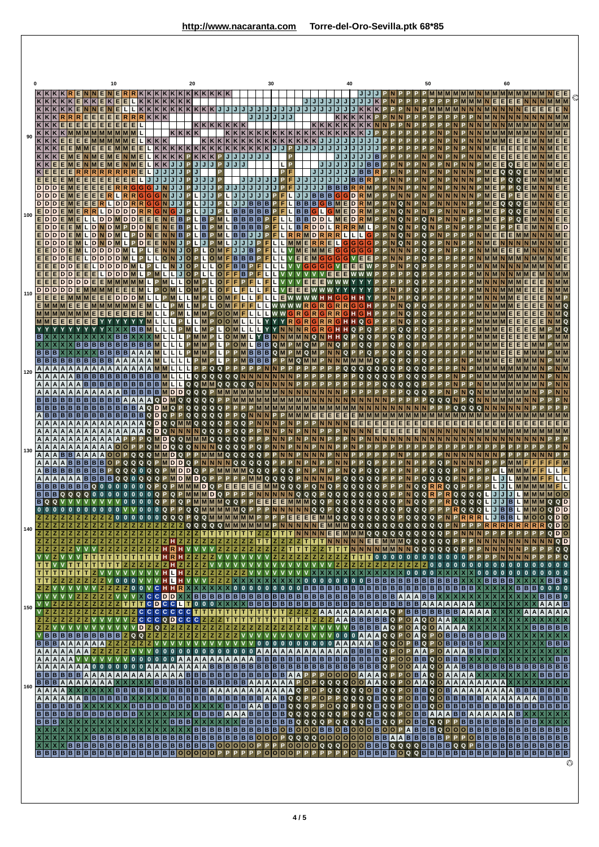|     |                  |                 |                                     | K K                | E                          |                     | <b>NNENE</b><br>KKEKE                                                    | 10               | E                                  |                      | κ            | κ                          | K <br>K     |        | K K K K K K K K K<br> K K K | 20                    |                        |                  |                   |                   |                |             |             |     | 30           |        |                  |                   |               |        |         |                                        | 40          |                 |                            |                                                                                   |   |        |        | 50                         |              |        |                                                                                                     |        | N                          | Е | 60<br>Е | E<br>Е         |                                                                                                                                                                  | <b>MMM</b>    |           |   |
|-----|------------------|-----------------|-------------------------------------|--------------------|----------------------------|---------------------|--------------------------------------------------------------------------|------------------|------------------------------------|----------------------|--------------|----------------------------|-------------|--------|-----------------------------|-----------------------|------------------------|------------------|-------------------|-------------------|----------------|-------------|-------------|-----|--------------|--------|------------------|-------------------|---------------|--------|---------|----------------------------------------|-------------|-----------------|----------------------------|-----------------------------------------------------------------------------------|---|--------|--------|----------------------------|--------------|--------|-----------------------------------------------------------------------------------------------------|--------|----------------------------|---|---------|----------------|------------------------------------------------------------------------------------------------------------------------------------------------------------------|---------------|-----------|---|
|     |                  |                 | KKKKK<br> K K R R<br>$KK$ $E$       | E                  | R<br>Е<br>E<br>Е           | <b>NN</b><br>Е<br>Е | E<br>E<br>Е                                                              | E<br>E<br>E<br>Е | Ш<br>R<br>E.                       | R<br>Е               | R.           | KK                         |             |        | K K K K K K K K             |                       |                        |                  | K K K K K         |                   |                | J           | J/J/J       |     | J/J/J/J<br>J | J/J    |                  |                   |               |        |         | J/J                                    |             |                 |                            |                                                                                   |   |        |        |                            |              |        |                                                                                                     |        |                            |   |         |                |                                                                                                                                                                  | E.            | EN        |   |
| 90  |                  | K K K           |                                     | E.                 | E                          |                     |                                                                          |                  |                                    |                      |              | K K K                      |             |        | K K K K                     |                       |                        |                  |                   |                   |                |             |             |     |              |        |                  |                   |               |        |         |                                        |             |                 |                            |                                                                                   |   |        |        |                            |              |        |                                                                                                     |        |                            |   |         |                |                                                                                                                                                                  |               |           |   |
|     |                  |                 |                                     | Е                  |                            |                     |                                                                          |                  |                                    |                      |              |                            |             | K      | J                           | P                     | κI<br>K                | K<br>K<br>K<br>J | $K$ $K$<br>P<br>P | J<br>J            |                |             |             |     |              | L      | P<br>P           |                   |               |        |         |                                        |             |                 |                            |                                                                                   |   |        |        |                            |              |        |                                                                                                     |        |                            |   | Е       | Е              |                                                                                                                                                                  |               |           |   |
|     |                  | D D D           |                                     |                    | Е                          | Е                   | Е                                                                        | E<br>E           | E                                  | Е                    |              | г<br>J                     |             | J      | IJ<br>J                     |                       |                        | J<br>J           | P                 |                   | IJ             |             |             |     |              | P.     | l F              |                   |               | J/J    | в       | в                                      |             |                 |                            |                                                                                   |   |        |        |                            |              |        |                                                                                                     |        |                            |   |         |                |                                                                                                                                                                  |               |           |   |
|     | $D$ <sub>D</sub> | D D D <br>ID.   |                                     |                    |                            | Е                   | E.                                                                       | D                | D                                  |                      |              | G                          |             |        | J<br>.1                     |                       |                        |                  |                   | L                 | J              | в           |             |     |              |        | в                | в                 | в<br>B        | B      | в       | Gl<br>G                                | D<br>D      |                 |                            |                                                                                   |   |        |        |                            |              |        |                                                                                                     |        |                            |   |         |                |                                                                                                                                                                  |               |           |   |
| 100 |                  | E D D <br>E D D | E D D E                             | MIE                |                            | D                   | D<br>۱D.                                                                 | D<br>D           | D                                  |                      | D            |                            |             |        | в<br>в                      |                       | в<br>в                 |                  |                   |                   | B<br>в<br>в    | B<br>B      |             |     | F            | г      | в<br>B           | в                 | D<br>D        | D<br>D |         | Е<br>R                                 | D<br>D<br>R | M               |                            |                                                                                   |   | Q      |        |                            |              |        |                                                                                                     |        |                            |   |         |                |                                                                                                                                                                  |               | D         |   |
|     |                  | D               | E[D D D                             | Е<br>Е             |                            | D                   | <b>DINDM</b><br><b>ND</b><br>D D D                                       |                  |                                    | Р.                   | D<br>D       |                            |             |        | B                           |                       | в                      | О                |                   |                   | B<br>J         | B<br>J<br>B |             | P   | F.<br>L.     | г      | R<br>R           | <b>M</b>          | D<br>R        | R      | E       | $R$ $R$ $R$ $L$<br>G                   | L<br>G<br>G | L<br>G<br>G     | G<br>G                     |                                                                                   |   | Q<br>Q |        | Q                          |              |        |                                                                                                     |        |                            |   | Е       | Е              |                                                                                                                                                                  |               |           |   |
|     | E.               |                 | ID I<br>E                           | E<br>D D E<br>D D  | E<br>L<br>Е<br>E<br>Е      | L<br>Е              | $D$ $D$ $D$ $D$ $M$ $L$<br><b>DDDDM</b>                                  | D                | ID DI                              |                      | P            | M                          |             |        | J <sub>o</sub>              | $\Omega$<br><b>OP</b> | L<br>L                 | O<br>L           | $\circ$<br>o      | F<br>F            | в<br>B<br>F    | B B B<br>B  | F           |     | L.<br>LIL.   | L<br>г | v<br>E<br>v<br>v | E<br>G            | G             | G      | G<br>E. | G<br>G<br> G V E<br>Е<br>Е             | E           | Е<br>Е          | Е<br>W                     |                                                                                   |   |        |        |                            |              |        |                                                                                                     |        |                            |   |         |                |                                                                                                                                                                  |               |           |   |
| 110 |                  |                 | EDD<br>D D D D D                    |                    | D<br>D                     | Е                   |                                                                          |                  |                                    |                      |              |                            |             |        |                             |                       | Р                      |                  | O<br>$\circ$      |                   |                |             |             |     |              |        |                  |                   |               |        |         |                                        |             |                 |                            |                                                                                   |   |        |        |                            |              |        |                                                                                                     |        |                            |   |         |                |                                                                                                                                                                  |               |           |   |
|     |                  | E E E           | $E$ M M M E                         |                    |                            | Е                   | Е                                                                        | E                | D                                  |                      |              |                            |             |        |                             |                       |                        |                  | O<br>o<br>$\circ$ | M<br>$\circ$      |                | L           |             |     |              |        | $\mathbb{R}$     | G                 |               |        |         | G                                      |             |                 |                            |                                                                                   |   |        |        |                            |              |        |                                                                                                     |        |                            |   |         |                |                                                                                                                                                                  |               |           |   |
|     | в                |                 |                                     |                    | Е                          |                     |                                                                          | в                | l B                                |                      | в            |                            |             |        |                             |                       |                        |                  | o<br>L            | о<br>о<br>$\circ$ |                | L           |             | в   |              |        |                  |                   | Q             |        |         | G<br>Q                                 |             | Q<br>Q          |                            |                                                                                   |   |        |        |                            |              |        |                                                                                                     |        |                            |   |         |                |                                                                                                                                                                  |               |           |   |
|     |                  | B B B           | B B B B B                           |                    | B<br>B<br>IB.              | в                   | в<br> B<br>B<br> B B B                                                   | B                | B B                                | в                    | в            | в<br>A                     |             | L      | L<br>L                      |                       |                        |                  | L<br>г            | P<br>P            | $\Omega$<br>P. | M<br>B      | B B B       | B B | Q<br>Q       |        | M<br>Q           | Q<br>$\mathbf{Q}$ |               |        |         | Q<br>Q                                 |             | Q               | Q                          |                                                                                   |   |        |        |                            |              |        |                                                                                                     |        |                            |   |         |                |                                                                                                                                                                  |               |           |   |
| 120 |                  |                 | A   A   A   A   A<br>A A A A        |                    | B B                        | B                   | B B                                                                      |                  |                                    |                      |              |                            |             |        |                             |                       | Q<br>Q                 | Q                | Q                 | Q                 | Q              |             |             |     |              |        |                  |                   |               |        |         |                                        |             |                 |                            |                                                                                   |   |        |        |                            |              |        |                                                                                                     |        |                            |   |         |                |                                                                                                                                                                  |               |           |   |
|     |                  |                 |                                     | A   A   A<br>B B B | A<br>B                     |                     | B B B B<br> A A A<br>B B B                                               |                  | <b>BIB</b><br>$A$ $B$<br><b>BA</b> | B                    | B<br>B<br>A  | в<br>в<br>B<br>Α           | D<br>Q      |        | L<br>D D Q Q Q<br>Q         | Q<br>Q                | Q<br>Q<br>Q            | Q                | Q                 | Q                 | Q<br>Q         |             |             |     |              |        |                  |                   |               |        |         |                                        |             |                 |                            |                                                                                   |   |        | Q      | Q                          |              |        |                                                                                                     | Q      |                            |   |         |                |                                                                                                                                                                  |               |           |   |
|     |                  |                 | B B B B <br>$A$ $A$ $A$ $A$ $A$ $A$ | <b>BB</b>          | IB.<br>B<br>A              |                     | в<br>B B B B<br>A                                                        | B                | B B<br>IBIBI<br>A A                | в<br>$\vert$ B<br> A | A<br>B       | D<br>Q<br>D<br>Q<br>D<br>Q | Q<br>Q      | Q      |                             | Q                     | Q<br>Q<br>Q<br>Q       | Q<br>Q           | Q                 |                   | Q<br>Q         |             | <b>QNNN</b> |     |              |        |                  |                   |               | Е      | E       | E<br>E                                 | Е<br>Е      | <b>MIM</b><br>Е |                            |                                                                                   |   |        | Е      |                            |              |        |                                                                                                     |        | Е                          |   |         |                |                                                                                                                                                                  |               |           |   |
|     |                  | A   A   A       | $A$ $A$ $A$ $A$ $A$ $A$             | $\overline{A}$     | Α<br>A<br>A                |                     | A   A<br>$A$ $A$                                                         |                  |                                    |                      |              | Q<br>D<br>Q                | Q<br>D<br>D | Q<br>Q | <b>NIN</b><br>Q             | NN                    | Q                      | $\mathbf Q$      | Q                 |                   | Q<br>Q         |             |             |     |              |        |                  |                   |               |        |         |                                        |             |                 | E                          | E.                                                                                |   | Е      | Е      |                            |              |        |                                                                                                     |        |                            |   |         |                |                                                                                                                                                                  |               |           |   |
| 130 |                  | A   A   A       | $A$ $A$ $A$ $B$ $B$                 | <b>BBA</b>         | A                          | A<br>в              | A<br>в                                                                   |                  |                                    |                      |              |                            |             | D      | D<br>D                      | O<br>D Q              |                        |                  |                   |                   |                |             |             | Q   |              | Q      |                  |                   |               |        |         |                                        | Q           |                 |                            |                                                                                   |   |        |        |                            |              |        |                                                                                                     |        |                            |   |         |                |                                                                                                                                                                  |               |           |   |
|     |                  |                 | B B B B B B B                       | $A$ $A$            | B                          | в                   |                                                                          |                  |                                    |                      |              |                            |             |        |                             |                       | D<br>Q<br>$\mathbf{D}$ | Q                |                   | Е                 | Ε.             | E<br>Е      |             | Q   | Q            | Q<br>Q |                  |                   |               |        |         |                                        |             |                 |                            |                                                                                   |   |        |        |                            |              |        |                                                                                                     |        |                            |   |         |                |                                                                                                                                                                  |               |           |   |
|     |                  |                 | $B$ $B$ $B$ $Q$ $Q$<br><b>BQQV</b>  |                    | $\mathbf Q$<br>$\mathbf Q$ |                     |                                                                          |                  |                                    |                      |              | O                          |             | O      | Q                           |                       | мI                     | <b>MD</b>        | Q<br>M            | $\Omega$          | P<br>Q         | <b>P</b>    |             | EE  | E.           | E      | Q<br><b>MMM</b>  | Q                 | $\Omega$<br>Q | Q      | Q<br>P  | $\mathbf{Q}$<br>Q<br>$\mathbf{Q}$<br>Q | Q<br>Q      | Q<br>Q          | Q<br>Q<br>Q<br>$\mathbf Q$ | O<br>Q                                                                            | Q | N.     | Q<br>Q | $\mathbf Q$<br>$\mathbf Q$ | R            | R<br>R | $\Omega$<br>Q<br>$\Omega$<br>$\mathbf{Q}$<br>00000VV000QPPQQMMMMMQPPPPNNNNNNQQPQQQQQQQQPQQQPPPPRQQQ | Q<br>Q | $\mathbf Q$<br>L<br>Q<br>г | J | IJ      | J<br>$\vert$ B | <b>BLMMOQDD</b>                                                                                                                                                  | $\Omega$<br>Q | 0 0<br>۱D |   |
| 140 |                  |                 |                                     |                    |                            |                     | Z Z Z Z Z Z Z 0 0 0 <br>Z Z Z Z Z Z Z Z Z Z Z Z Z Z Z Z                  |                  |                                    |                      | $\mathbf{0}$ |                            |             |        |                             |                       |                        |                  |                   |                   |                |             |             |     |              |        |                  |                   |               |        |         |                                        |             |                 |                            |                                                                                   |   |        |        |                            |              |        |                                                                                                     |        |                            |   |         |                | 00000P00MMMMMMPPPPEEEEMM00000000P0000PNP <mark>RRRLJBBLM0000P0</mark><br>ZZZZZZQQQQQMMMMMMPNNNNPNNNNEMMMQQQQQQQQQQQQQPNPPP <mark>RRRRRRRQD</mark> O              |               |           |   |
|     |                  |                 |                                     |                    |                            |                     | z z z z z z z z z z z z z                                                |                  |                                    |                      | z            |                            |             |        |                             |                       |                        |                  |                   |                   |                |             |             |     |              |        |                  |                   |               |        |         |                                        |             |                 |                            |                                                                                   |   |        |        |                            | $\mathbf{0}$ |        |                                                                                                     |        |                            |   |         |                | ZZZZZXVVVZZZZZZZZZXHRHVVVVZZZZZZZZZZZTTTZZTTTNNNNMMNNQQQQQQQPPPP <mark>NNNNNPPPPQQ</mark><br>PNNNNPPPPQ                                                          |               |           |   |
|     |                  |                 |                                     |                    |                            |                     | $T[T T T T T T Z V V$<br>$T T Z Z Z Z Z Z Z Z V 0 0 $                    |                  |                                    | $\mathbf{0}$         | $\mathbf{v}$ |                            |             |        | VVHLIHZZZZZ                 |                       |                        |                  |                   | z z z             |                |             |             |     |              |        |                  |                   |               |        |         |                                        |             |                 |                            | $XXXXXXXXXXXX0000$                                                                |   |        |        | z                          |              |        | 0 0 0 0 0 0                                                                                         |        |                            |   |         |                | VHLHVVVZZZXXXXXXXXXXXXXX 00000000BBBBBBBBBBBBBXXXXBBBBXXXXXBB0                                                                                                   | 0000          |           |   |
|     |                  |                 |                                     |                    |                            |                     | ZZVVVVVVZZZZ<br>VVVVVZZZZZZVVVX                                          |                  |                                    | 0 <sub>0</sub>       |              |                            |             |        |                             |                       |                        |                  |                   |                   |                |             |             |     |              |        |                  |                   |               |        |         |                                        |             |                 |                            | $C C D D X X B B B B B B B B B B B B B B B B B B B B B B B B B B B B B B A A A B$ |   |        |        |                            |              |        |                                                                                                     |        | B X X X X X X X X X        |   |         |                | X X X B B B 0                                                                                                                                                    |               |           |   |
| 150 |                  |                 |                                     |                    |                            |                     |                                                                          |                  |                                    |                      |              |                            |             |        |                             |                       |                        |                  |                   |                   |                |             |             |     |              |        |                  |                   |               |        |         |                                        |             |                 |                            |                                                                                   |   |        |        |                            |              |        |                                                                                                     |        |                            |   |         |                | X A A A A A                                                                                                                                                      |               |           |   |
|     |                  |                 |                                     |                    |                            |                     | ZZVVVVVVVVVVVVVVDZQ<br>$B B B A A A A A A Z Z Z Z Z $                    |                  |                                    |                      |              | z                          |             |        | <b>VVVVVVVV</b>             |                       |                        |                  |                   |                   |                |             |             |     |              |        |                  |                   |               |        |         |                                        |             |                 |                            |                                                                                   |   |        |        |                            |              |        |                                                                                                     |        |                            |   |         |                | ZZZZZZZZZZZZZZZZZZZZZZZZZZZZZVVVVVVBBBBBAQPOAQOAAAAXXXXXXXXXXBBBBB<br> X X X X B B B                                                                             |               |           |   |
|     |                  |                 |                                     |                    |                            |                     | $A$ $A$ $A$ $A$ $A$ $A$ $A$ $Z$ $Z$ $Z$ $Z$ $Z$ $Y$ $V$<br>AAAAAVVVVVVV0 |                  |                                    |                      | $\mathbf{0}$ |                            |             |        |                             |                       |                        |                  |                   |                   |                |             |             |     |              |        |                  |                   |               |        |         |                                        |             |                 |                            |                                                                                   |   |        |        |                            |              |        |                                                                                                     |        |                            |   |         |                | 0000AAAAAAAAAABBBBBBBBBBBBBBBBBBB Q P 00BB Q 0 B B B X X X X X X X X X X X X X X X B B                                                                           |               |           |   |
| 160 |                  |                 |                                     |                    |                            |                     |                                                                          |                  |                                    |                      |              |                            |             |        |                             |                       |                        |                  |                   |                   |                |             |             |     |              |        |                  |                   |               |        |         |                                        |             |                 |                            |                                                                                   |   |        |        |                            |              |        |                                                                                                     |        |                            |   |         |                | BBBBBBAAAAAAAAAAAAAAABBBBBBBBBBBBBBAAPPPOOOOAAAQPPOBAQOAAAAXXXXXXXXXXX<br><u>AAAAXXXXXBBBBBBBBBBBBBBAAAAAAAAAAAAAA AO PO PQQQQQOBQQPOBBQOBAAAAAAAAABBBBBBBBB</u> |               |           |   |
|     |                  |                 |                                     |                    |                            |                     |                                                                          |                  |                                    |                      |              |                            |             |        |                             |                       |                        |                  |                   |                   |                |             |             |     |              |        |                  |                   |               |        |         |                                        |             |                 |                            |                                                                                   |   |        |        |                            |              |        |                                                                                                     |        |                            |   |         |                |                                                                                                                                                                  |               |           |   |
|     |                  |                 |                                     |                    |                            |                     |                                                                          |                  |                                    |                      |              |                            |             |        |                             |                       |                        |                  |                   |                   |                |             |             |     |              |        |                  |                   |               |        |         |                                        |             |                 |                            |                                                                                   |   |        |        |                            |              |        |                                                                                                     |        |                            |   |         |                |                                                                                                                                                                  |               |           |   |
|     |                  |                 |                                     |                    |                            |                     |                                                                          |                  |                                    |                      |              |                            |             |        |                             |                       |                        |                  |                   |                   |                |             |             |     |              |        |                  |                   |               |        |         |                                        |             |                 |                            |                                                                                   |   |        |        |                            |              |        |                                                                                                     |        |                            |   |         |                |                                                                                                                                                                  |               |           |   |
|     |                  |                 |                                     |                    |                            |                     |                                                                          |                  |                                    |                      |              |                            |             |        |                             |                       |                        |                  |                   |                   |                |             |             |     |              |        |                  |                   |               |        |         |                                        |             |                 |                            |                                                                                   |   |        |        |                            |              |        |                                                                                                     |        |                            |   |         |                |                                                                                                                                                                  |               |           | ◎ |